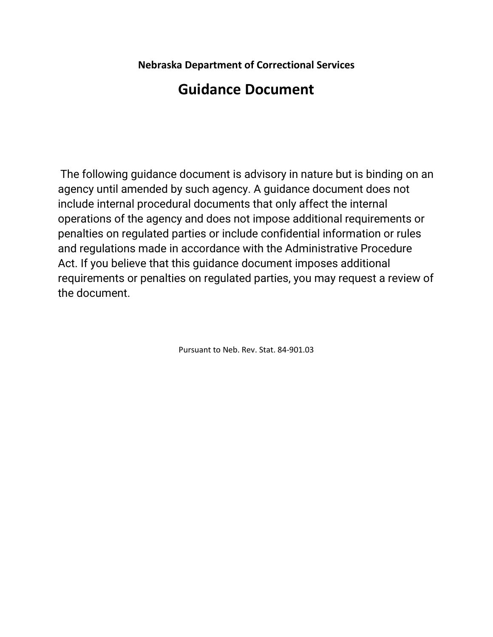**Nebraska Department of Correctional Services**

## **Guidance Document**

The following guidance document is advisory in nature but is binding on an agency until amended by such agency. A guidance document does not include internal procedural documents that only affect the internal operations of the agency and does not impose additional requirements or penalties on regulated parties or include confidential information or rules and regulations made in accordance with the Administrative Procedure Act. If you believe that this guidance document imposes additional requirements or penalties on regulated parties, you may request a review of the document.

Pursuant to Neb. Rev. Stat. 84-901.03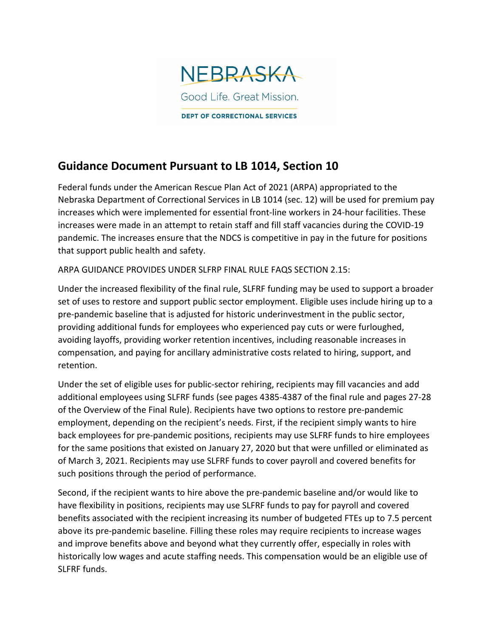

## **Guidance Document Pursuant to LB 1014, Section 10**

Federal funds under the American Rescue Plan Act of 2021 (ARPA) appropriated to the Nebraska Department of Correctional Services in LB 1014 (sec. 12) will be used for premium pay increases which were implemented for essential front-line workers in 24-hour facilities. These increases were made in an attempt to retain staff and fill staff vacancies during the COVID-19 pandemic. The increases ensure that the NDCS is competitive in pay in the future for positions that support public health and safety.

ARPA GUIDANCE PROVIDES UNDER SLFRP FINAL RULE FAQS SECTION 2.15:

Under the increased flexibility of the final rule, SLFRF funding may be used to support a broader set of uses to restore and support public sector employment. Eligible uses include hiring up to a pre-pandemic baseline that is adjusted for historic underinvestment in the public sector, providing additional funds for employees who experienced pay cuts or were furloughed, avoiding layoffs, providing worker retention incentives, including reasonable increases in compensation, and paying for ancillary administrative costs related to hiring, support, and retention.

Under the set of eligible uses for public-sector rehiring, recipients may fill vacancies and add additional employees using SLFRF funds (see pages 4385-4387 of the final rule and pages 27-28 of the Overview of the Final Rule). Recipients have two options to restore pre-pandemic employment, depending on the recipient's needs. First, if the recipient simply wants to hire back employees for pre-pandemic positions, recipients may use SLFRF funds to hire employees for the same positions that existed on January 27, 2020 but that were unfilled or eliminated as of March 3, 2021. Recipients may use SLFRF funds to cover payroll and covered benefits for such positions through the period of performance.

Second, if the recipient wants to hire above the pre-pandemic baseline and/or would like to have flexibility in positions, recipients may use SLFRF funds to pay for payroll and covered benefits associated with the recipient increasing its number of budgeted FTEs up to 7.5 percent above its pre-pandemic baseline. Filling these roles may require recipients to increase wages and improve benefits above and beyond what they currently offer, especially in roles with historically low wages and acute staffing needs. This compensation would be an eligible use of SLFRF funds.